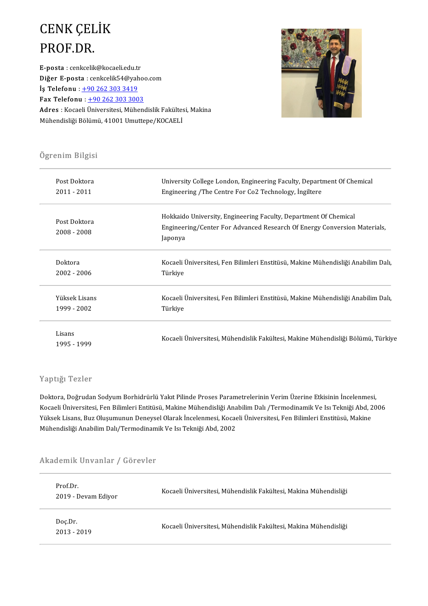# CENK ÇELİK<br>PROF DR CENK ÇEL<br>PROF.DR.<br>E-posta : cenkcelik

PROF.DR.<br>E-posta : cenkcelik@kocaeli.edu.tr<br>Dižer E posta : cenkcelik54@vabe **PROF.DR.**<br>E-posta : cenkcelik@kocaeli.edu.tr<br>Diğer E-posta : cenkcelik54@yahoo.com<br>İş Telefonu : <u>+90 262 303 3419</u> E-posta : cenkcelik@kocaeli.edu.tr<br>Diğer E-posta : cenkcelik54@yah<br>İş Telefonu : <u>+90 262 303 3419</u><br>Fax Telefonu : 190 262 202 200 Fax Telefonu :  $+902623033003$ İş Telefonu : <u>+90 262 303 3419</u><br>Fax Telefonu : <u>+90 262 303 3003</u><br>Adres : Kocaeli Üniversitesi, Mühendislik Fakültesi, Makina<br>Mühendisliği Bölümü, 41001 Umuttene (KOCAELİ **Fax Telefonu** : <u>+90 262 303 3003</u><br><mark>Adres</mark> : Kocaeli Üniversitesi, Mühendislik Fakültes<br>Mühendisliği Bölümü, 41001 Umuttepe/KOCAELİ



## ی<br>Ögrenim Bilgisi

| Ogrenim Bilgisi |                                                                                   |  |  |  |
|-----------------|-----------------------------------------------------------------------------------|--|--|--|
| Post Doktora    | University College London, Engineering Faculty, Department Of Chemical            |  |  |  |
| 2011 - 2011     | Engineering / The Centre For Co2 Technology, Ingiltere                            |  |  |  |
|                 | Hokkaido University, Engineering Faculty, Department Of Chemical                  |  |  |  |
| Post Doktora    | Engineering/Center For Advanced Research Of Energy Conversion Materials,          |  |  |  |
| 2008 - 2008     | Japonya                                                                           |  |  |  |
| Doktora         | Kocaeli Üniversitesi, Fen Bilimleri Enstitüsü, Makine Mühendisliği Anabilim Dalı, |  |  |  |
| $2002 - 2006$   | Türkiye                                                                           |  |  |  |
| Yüksek Lisans   | Kocaeli Üniversitesi, Fen Bilimleri Enstitüsü, Makine Mühendisliği Anabilim Dalı, |  |  |  |
| 1999 - 2002     | Turkiye                                                                           |  |  |  |
| Lisans          |                                                                                   |  |  |  |
| 1995 - 1999     | Kocaeli Üniversitesi, Mühendislik Fakültesi, Makine Mühendisliği Bölümü, Türkiye  |  |  |  |

#### Yaptığı Tezler

Yaptığı Tezler<br>Doktora, Doğrudan Sodyum Borhidrürlü Yakıt Pilinde Proses Parametrelerinin Verim Üzerine Etkisinin İncelenmesi,<br>Kosasli Üniversitesi, Fan Pilimleri Entitüsü, Makine Mühandisliği Anabilim Dalı (Termedinamik V Kocaeli Üniversitesi, Fen Bilimleri Entitüsü, Makine Mühendisliği Anabilim Dalı /Termodinamik Ve Isı Tekniği Abd, 2006<br>Yüksek Lisans, Buz Oluşumunun Deneysel Olarak İncelenmesi, Kocaeli Üniversitesi, Fen Bilimleri Enstitüs Doktora, Doğrudan Sodyum Borhidrürlü Yakıt Pilinde Proses Parametrelerinin Verim Üzerine Etkisinin İncelenmes<br>Kocaeli Üniversitesi, Fen Bilimleri Entitüsü, Makine Mühendisliği Anabilim Dalı /Termodinamik Ve Isı Tekniği Abd Mühendisliği Anabilim Dalı/Termodinamik Ve Isı Tekniği Abd, 2002

## Munendisiigi Anabilim Dali/Termodinam<br>Akademik Unvanlar / Görevler

| Prof Dr.<br>2019 Devam Ediyor | Kocaeli Üniversitesi, Mühendislik Fakültesi, Makina Mühendisliği |
|-------------------------------|------------------------------------------------------------------|
| Doc Dr<br>2013 - 2019         | Kocaeli Üniversitesi, Mühendislik Fakültesi, Makina Mühendisliği |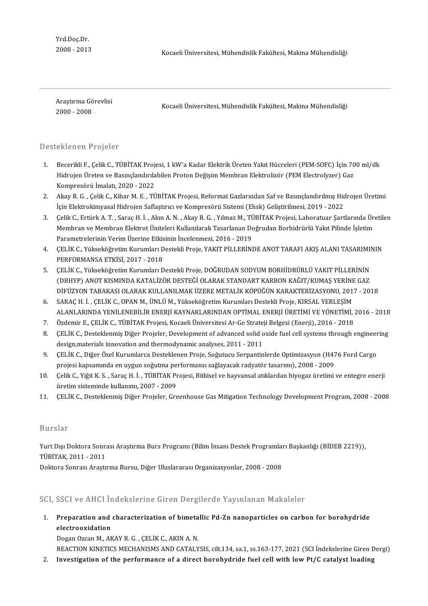Yrd.Doç.Dr.

2008-2013 KocaeliÜniversitesi,MühendislikFakültesi,MakinaMühendisliği

)<br>Araştırma Görevlisi<br>2000 - 2009 2000-2008

Kocaeli Üniversitesi, Mühendislik Fakültesi, Makina Mühendisliği

#### Desteklenen Projeler

- ) esteklenen Projeler<br>1. Becerikli F., Çelik C., TÜBİTAK Projesi, 1 kW'a Kadar Elektrik Üreten Yakıt Hücreleri (PEM-SOFC) İçin 700 ml/dk<br>Hidroian Üreten ve Besundandurlabilen Proton Değisim Mombren Elektreligen (PEM Electr Becerikli F., Çelik C., TÜBİTAK Projesi, 1 kW'a Kadar Elektrik Üreten Yakıt Hücreleri (PEM-SOFC) İçin 70<br>Hidrojen Üreten ve Basınçlandırılabilen Proton Değişim Membran Elektrolizör (PEM Electrolyzer) Gaz<br>Kompresörü İmalatı Becerikli F., Çelik C., TÜBİTAK Proj<br>Hidrojen Üreten ve Basınçlandırıla<br>Kompresörü İmalatı, 2020 - 2022<br>Akay P. G., Gelik G., Kibar M. E., TÜ 2. Hidrojen Üreten ve Basınçlandırılabilen Proton Değişim Membran Elektrolizör (PEM Electrolyzer) Gaz<br>Kompresörü İmalatı, 2020 - 2022<br>2. Akay R. G. , Çelik C., Kibar M. E. , TÜBİTAK Projesi, Reformat Gazlarından Saf ve Bas
- Kompresörü İmalatı, 2020 2022<br>Akay R. G. , Çelik C., Kibar M. E. , TÜBİTAK Projesi, Reformat Gazlarından Saf ve Basınçlandırılmış Hid<br>İçin Elektrokimyasal Hidrojen Saflaştırıcı ve Kompresörü Sistemi (Ehsk) Geliştirilmesi 3. Akay R. G. , Çelik C., Kibar M. E. , TÜBİTAK Projesi, Reformat Gazlarından Saf ve Basınçlandırılmış Hidrojen Üretimi<br>1 İçin Elektrokimyasal Hidrojen Saflaştırıcı ve Kompresörü Sistemi (Ehsk) Geliştirilmesi, 2019 - 2022<br>
- İçin Elektrokimyasal Hidrojen Saflaştırıcı ve Kompresörü Sistemi (Ehsk) Geliştirilmesi, 2019 2022<br>Çelik C., Ertürk A. T. , Saraç H. İ. , Akın A. N. , Akay R. G. , Yılmaz M., TÜBİTAK Projesi, Laboratuar Şartlarında Üre<br>Me Çelik C., Ertürk A. T. , Saraç H. İ. , Akın A. N. , Akay R. G. , Yılmaz M., TÜ<br>Membran ve Membran Elektrot Üniteleri Kullanılarak Tasarlanan Do<br>Parametrelerinin Verim Üzerine Etkisinin İncelenmesi, 2016 - 2019<br>CELİK C. Vül Membran ve Membran Elektrot Üniteleri Kullanılarak Tasarlanan Doğrudan Borhidrürlü Yakıt Pilinde İşletim<br>Parametrelerinin Verim Üzerine Etkisinin İncelenmesi, 2016 - 2019<br>4. CELİK C., Yükseköğretim Kurumları Destekli Proje
- Parametrelerinin Verim Üzerine Etkis<br>ÇELİK C., Yükseköğretim Kurumları D<br>PERFORMANSA ETKİSİ, 2017 2018<br>CELİK C. Vülseköğretim Kunumları D 5. ÇELİK C., Yükseköğretim Kurumları Destekli Proje, YAKIT PİLLERİNDE ANOT TARAFI AKIŞ ALANI TASARIMII<br>1997- PERFORMANSA ETKİSİ, 2017 - 2018<br>5. CCLİK C., Yükseköğretim Kurumları Destekli Proje, DOĞRUDAN SODYUM BORHİDRÜRLÜ
- (DBHYP) PERFORMANSA ETKİSİ, 2017 2018<br>5. CELİK C., Yükseköğretim Kurumları Destekli Proje, DOĞRUDAN SODYUM BORHİDRÜRLÜ YAKIT PİLLERİNİN<br>64Z (DBHYP) ANOT KISMINDA KATALİZÖR DESTEĞİ OLARAK STANDART KARBON KAĞIT/KUMAS YERİN DİFÜZYONTABAKASIOLARAKKULLANILMAKÜZEREMETALİKKÖPÜĞÜNKARAKTERİZASYONU,2017-2018 (DBHYP) ANOT KISMINDA KATALİZÖR DESTEĞİ OLARAK STANDART KARBON KAĞIT/KUMAŞ YERİNE<br>16. DİFÜZYON TABAKASI OLARAK KULLANILMAK ÜZERE METALİK KÖPÜĞÜN KARAKTERİZASYONU, 2017<br>6. SARAÇ H. İ. , ÇELİK C., OPAN M., ÜNLÜ M., Yükseköğr
- DİFÜZYON TABAKASI OLARAK KULLANILMAK ÜZERE METALİK KÖPÜĞÜN KARAKTERİZASYONU, 2017 2018<br>SARAÇ H. İ. , ÇELİK C., OPAN M., ÜNLÜ M., Yükseköğretim Kurumları Destekli Proje, KIRSAL YERLEŞİM<br>ALANLARINDA YENİLENEBİLİR ENERJİ KA 5. SARAÇ H. İ. , ÇELİK C., OPAN M., ÜNLÜ M., Yükseköğretim Kurumları Destekli Proje, KIRSAL YERLEŞİM<br>ALANLARINDA YENİLENEBİLİR ENERJİ KAYNAKLARINDAN OPTİMAL ENERJİ ÜRETİMİ VE YÖNETİMİ, ;<br>7. Özdemir E., ÇELİK C., TÜBİTAK Pr
- 
- 8. ALANLARINDA YENİLENEBİLİR ENERJİ KAYNAKLARINDAN OPTİMAL ENERJİ ÜRETİMİ VE YÖNETİMİ, 2016 2018<br>7. Özdemir E., ÇELİK C., TÜBİTAK Projesi, Kocaeli Üniversitesi Ar-Ge Strateji Belgesi (Enerji), 2016 2018<br>8. CELİK C., De Özdemir E., ÇELİK C., TÜBİTAK Projesi, Kocaeli Üniversitesi Ar-Ge Strate<br>ÇELİK C., Desteklenmiş Diğer Projeler, Development of advanced solid o<br>design,materials innovation and thermodynamic analyses, 2011 - 2011<br>CELİK C. D 9. CELİK C., Desteklenmiş Diğer Projeler, Development of advanced solid oxide fuel cell systems through engineer<br>design,materials innovation and thermodynamic analyses, 2011 - 2011<br>9. CELİK C., Diğer Özel Kurumlarca Destek
- design,materials innovation and thermodynamic analyses, 2011 2011<br>ÇELİK C., Diğer Özel Kurumlarca Desteklenen Proje, Soğutucu Serpantinlerde Optimizasyon (H476 Ford Cargo<br>projesi kapsamında en uygun soğutma performansı s 9. ÇELİK C., Diğer Özel Kurumlarca Desteklenen Proje, Soğutucu Serpantinlerde Optimizasyon (H476 Ford Cargo projesi kapsamında en uygun soğutma performansı sağlayacak radyatör tasarımı), 2008 - 2009<br>10. Çelik C., Yiğit K.
- projesi kapsamında en uygun soğutma pe:<br>Çelik C., Yiğit K. S. , Saraç H. İ. , TÜBİTAK Pr<br>üretim sisteminde kullanımı, 2007 2009<br>CELİK C. Desteklenmis Diğer Projeler, Cre 10. Çelik C., Yiğit K. S. , Saraç H. İ. , TÜBİTAK Projesi, Bitkisel ve hayvansal atıklardan biyogaz üretimi ve entegre enerji<br>üretim sisteminde kullanımı, 2007 - 2009<br>11. ÇELİK C., Desteklenmiş Diğer Projeler, Greenhouse G
- 

#### Burslar

Burslar<br>Yurt Dışı Doktora Sonrası Araştırma Burs Programı (Bilim İnsanı Destek Programları Başkanlığı (BİDEB 2219)),<br>TÜRİTAK 2011, 2011 Burolur<br>Yurt Dışı Doktora Sonra<br>TÜBİTAK, 2011 - 2011<br>Doktora Sonrası Arastu

TÜBİTAK, 2011 - 2011<br>Doktora Sonrası Araştırma Bursu, Diğer Uluslararası Organizasyonlar, 2008 - 2008

SCI, SSCI ve AHCI İndekslerine Giren Dergilerde Yayınlanan Makaleler

CI, SSCI ve AHCI İndekslerine Giren Dergilerde Yayınlanan Makaleler<br>1. Preparation and characterization of bimetallic Pd-Zn nanoparticles on carbon for borohydride<br>electroovidation electrooxidation<br>Preparation and<br>Pegga Ozga M Ak electrooxidation<br>Dogan Ozcan M., AKAY R. G. , ÇELİK C., AKIN A. N.

REACTION KINETICS MECHANISMS AND CATALYSIS, cilt.134, sa.1, ss.163-177, 2021 (SCI İndekslerine Giren Dergi)

2. Investigation of the performance of a direct borohydride fuel cell with low Pt/C catalyst loading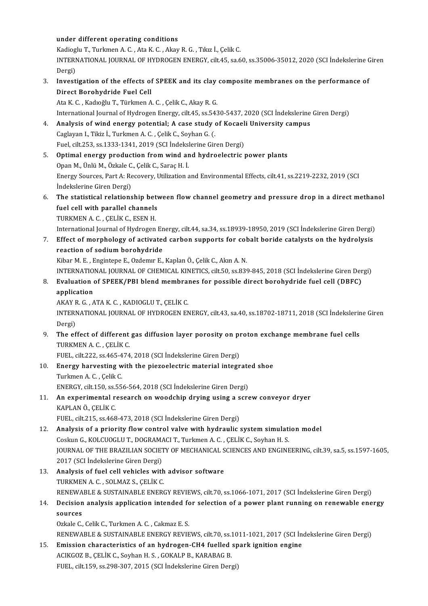#### under different operating conditions

KadiogluT.,TurkmenA.C. ,AtaK.C. ,AkayR.G. ,Tıkız İ.,ÇelikC. under different operating conditions<br>Kadioglu T., Turkmen A. C. , Ata K. C. , Akay R. G. , Tıkız İ., Çelik C.<br>INTERNATIONAL JOURNAL OF HYDROGEN ENERGY, cilt.45, sa.60, ss.35006-35012, 2020 (SCI İndekslerine Giren Kadiog<br>INTERI<br>Dergi)<br>Invest INTERNATIONAL JOURNAL OF HYDROGEN ENERGY, cilt.45, sa.60, ss.35006-35012, 2020 (SCI Indekslerine C<br>Dergi)<br>3. Investigation of the effects of SPEEK and its clay composite membranes on the performance of<br>Direct Berebydride F

### Dergi)<br>Investigation of the effects o<br>Direct Borohydride Fuel Cell<br>Ata K.C. Kadyağlu T. Türkman

Direct Borohydride Fuel Cell<br>Ata K. C. , Kadıoğlu T., Türkmen A. C. , Çelik C., Akay R. G. International Journal of Hydrogen Energy, cilt.45, ss.5430-5437, 2020 (SCI İndekslerine Giren Dergi)

4. Analysis of wind energy potential; A case study of Kocaeli University campus CaglayanI.,Tikiz İ.,TurkmenA.C. ,ÇelikC.,SoyhanG. (. Analysis of wind energy potential; A case study of Kocael<br>Caglayan I., Tikiz İ., Turkmen A. C. , Çelik C., Soyhan G. (.<br>Fuel, cilt.253, ss.1333-1341, 2019 (SCI İndekslerine Giren Dergi)<br>Ontimal anargu production from wind

- 5. Optimal energy production from wind and hydroelectric power plants<br>Opan M., Ünlü M., Özkale C., Çelik C., Saraç H. İ. Fuel, cilt.253, ss.1333-1341, 2019 (SCI İndeksl<br>**Optimal energy production from wind ar**<br>Opan M., Ünlü M., Özkale C., Çelik C., Saraç H. İ.<br>Fraray Sourses, Part A. Pessyory, Utilization s Optimal energy production from wind and hydroelectric power plants<br>Opan M., Ünlü M., Özkale C., Çelik C., Saraç H. İ.<br>Energy Sources, Part A: Recovery, Utilization and Environmental Effects, cilt.41, ss.2219-2232, 2019 (SC Opan M., Ünlü M., Özkale C.<br>Energy Sources, Part A: Re<br>İndekslerine Giren Dergi)<br>The statistisel relations 6. Energy Sources, Part A: Recovery, Utilization and Environmental Effects, cilt.41, ss.2219-2232, 2019 (SCI<br>indekslerine Giren Dergi)<br>6. The statistical relationship between flow channel geometry and pressure drop in a di
- indekslerine Giren Dergi)<br>The statistical relationship bety<br>fuel cell with parallel channels<br>TURKAEN A.C. CELUCE ESEN H The statistical relationship bet<br>fuel cell with parallel channels<br>TURKMEN A. C. , ÇELİK C., ESEN H.<br>International Journal of Hydnason

fuel cell with parallel channels<br>TURKMEN A. C. , ÇELİK C., ESEN H.<br>International Journal of Hydrogen Energy, cilt.44, sa.34, ss.18939-18950, 2019 (SCI İndekslerine Giren Dergi)

TURKMEN A. C. , ÇELİK C., ESEN H.<br>International Journal of Hydrogen Energy, cilt.44, sa.34, ss.18939-18950, 2019 (SCI İndekslerine Giren Dergi)<br>7. Effect of morphology of activated carbon supports for cobalt boride catalys International Journal of Hydrogen En<br>Effect of morphology of activated<br>reaction of sodium borohydride<br><sup>Kibar M. E.</sup>, Engintone E. Ozdemy E. Effect of morphology of activated carbon supports for col<br>reaction of sodium borohydride<br>Kibar M. E. , Engintepe E., Ozdemır E., Kaplan Ö., Çelik C., Akın A. N.<br>INTERNATIONAL JOURNAL OF CHEMICAL KINETICS, silt 50, ss 836 re<mark>action of sodium borohydride</mark><br>Kibar M. E. , Engintepe E., Ozdemır E., Kaplan Ö., Çelik C., Akın A. N.<br>INTERNATIONAL JOURNAL OF CHEMICAL KINETICS, cilt.50, ss.839-845, 2018 (SCI İndekslerine Giren Dergi)<br>Fyaluation of SP

Kibar M. E. , Engintepe E., Ozdemır E., Kaplan Ö., Çelik C., Akın A. N.<br>INTERNATIONAL JOURNAL OF CHEMICAL KINETICS, cilt.50, ss.839-845, 2018 (SCI İndekslerine Giren Der<br>8. Evaluation of SPEEK/PBI blend membranes for possi INTERNATION<br>Evaluation<br>application Evaluation of SPEEK/PBI blend membral<br>application<br>AKAY R. G. , ATA K. C. , KADIOGLU T., ÇELİK C.<br>INTERNATIONAL JOURNAL OE HYDROGEN EN

application<br>AKAY R. G. , ATA K. C. , KADIOGLU T., ÇELİK C.<br>INTERNATIONAL JOURNAL OF HYDROGEN ENERGY, cilt.43, sa.40, ss.18702-18711, 2018 (SCI İndekslerine Giren<br>Dergi) AKAY R. G., ATA K. C., KADIOGLU T., ÇELİK C. INTERNATIONAL JOURNAL OF HYDROGEN ENERGY, cilt.43, sa.40, ss.18702-18711, 2018 (SCI indekslerir<br>Dergi)<br>9. The effect of different gas diffusion layer porosity on proton exchange membrane fuel cells<br>TUPLMEN A.C. CELUC

Dergi)<br>**The effect of different**<br>TURKMEN A. C. , ÇELİK C.<br>FUEL .silt 222, cs 465, 474 The effect of different gas diffusion layer porosity on pi<br>TURKMEN A. C. , ÇELİK C.<br>FUEL, cilt.222, ss.465-474, 2018 (SCI İndekslerine Giren Dergi)<br>Fnanzy harvesting with the niegoaleatric material integr

- TURKMEN A. C. , ÇELİK C.<br>FUEL, cilt.222, ss.465-474, 2018 (SCI İndekslerine Giren Dergi)<br>10. Energy harvesting with the piezoelectric material integrated shoe<br>Turkman A. G. Colik C. FUEL, cilt.222, ss.465-4<br>**Energy harvesting w<br>Turkmen A. C. , Çelik C.**<br>ENEPCY silt 150, ss.55 Energy harvesting with the piezoelectric material integrate<br>Turkmen A. C. , Çelik C.<br>ENERGY, cilt.150, ss.556-564, 2018 (SCI İndekslerine Giren Dergi)<br>An eunerimentel researsh an usedshin druing using a sers Turkmen A. C. , Çelik C.<br>11. An experimental research on woodchip drying using a screw conveyor dryer<br>21. An experimental research on woodchip drying using a screw conveyor dryer
- ENERGY, cilt.150, ss.556-564, 2018 (SCI Indekslerine Giren Dergi)<br>An experimental research on woodchip drying using a scr<br>KAPLAN Ö., ÇELİK C.<br>FUEL, cilt.215, ss.468-473, 2018 (SCI Indekslerine Giren Dergi) An experimental research on woodchip drying using a s<br>KAPLAN Ö., ÇELİK C.<br>FUEL, cilt.215, ss.468-473, 2018 (SCI İndekslerine Giren Dergi)<br>Analysis of a priority flow santral yalve with hydraulis (

### 12. KAPLAN Ö., ÇELİK C.<br>12. Analysis of a priority flow control valve with hydraulic system simulation model<br>12. Analysis of a priority flow control valve with hydraulic system simulation model FUEL, cilt.215, ss.468-473, 2018 (SCI İndekslerine Giren Dergi)<br>Analysis of a priority flow control valve with hydraulic system simulati<br>Coskun G., KOLCUOGLU T., DOGRAMACI T., Turkmen A. C. , ÇELİK C., Soyhan H. S.<br>JOUPNAL JOURNAL OF THE BRAZILIAN SOCIETY OF MECHANICAL SCIENCES AND ENGINEERING, cilt.39, sa.5, ss.1597-1605, Coskun G., KOLCUOGLU T., DOGRAMACI T., Turkmen A. C., CELIK C., Soyhan H. S. 2017 (SCI İndekslerine Giren Dergi)

- 13. Analysis of fuel cell vehicles with advisor software<br>TURKMEN A. C., SOLMAZ S., CELIK C. Analysis of fuel cell vehicles with advisor software<br>TURKMEN A. C. , SOLMAZ S., ÇELİK C.<br>RENEWABLE & SUSTAINABLE ENERGY REVIEWS, cilt.70, ss.1066-1071, 2017 (SCI İndekslerine Giren Dergi)<br>Docision analysis annlisation inte TURKMEN A. C. , SOLMAZ S., ÇELİK C.<br>RENEWABLE & SUSTAINABLE ENERGY REVIEWS, cilt.70, ss.1066-1071, 2017 (SCI İndekslerine Giren Dergi)<br>14. Decision analysis application intended for selection of a power plant running o
- RENEWA<br>Decision<br>sources **Decision analysis application intended fo<br>sources<br>Ozkale C., Celik C., Turkmen A. C. , Cakmaz E. S.<br>DENEWAPLE & SUSTAINAPLE ENEDCY DEVIE**

sources<br>Ozkale C., Celik C., Turkmen A. C. , Cakmaz E. S.<br>RENEWABLE & SUSTAINABLE ENERGY REVIEWS, cilt.70, ss.1011-1021, 2017 (SCI İndekslerine Giren Dergi)<br>Emission abarastenistiss of an budrogen CH4 fuelled spark ispitio 0zkale C., Celik C., Turkmen A. C., Cakmaz E. S.<br>RENEWABLE & SUSTAINABLE ENERGY REVIEWS, cilt.70, ss.1011-1021, 2017 (SCI In:<br>15. Emission characteristics of an hydrogen-CH4 fuelled spark ignition engine<br>ACIVCOZE, CELIV C.

RENEWABLE & SUSTAINABLE ENERGY REVIEWS, cilt.70, ss.:<br>Emission characteristics of an hydrogen-CH4 fuelled<br>ACIKGOZ B., ÇELİK C., Soyhan H. S. , GOKALP B., KARABAG B.<br>EUEL. silt 159, ss.299,207, 2015 (SCLİndekalarine Giren D Emission characteristics of an hydrogen-CH4 fuelled spark ignition engine<br>ACIKGOZ B., ÇELİK C., Soyhan H. S. , GOKALP B., KARABAG B.<br>FUEL, cilt.159, ss.298-307, 2015 (SCI İndekslerine Giren Dergi)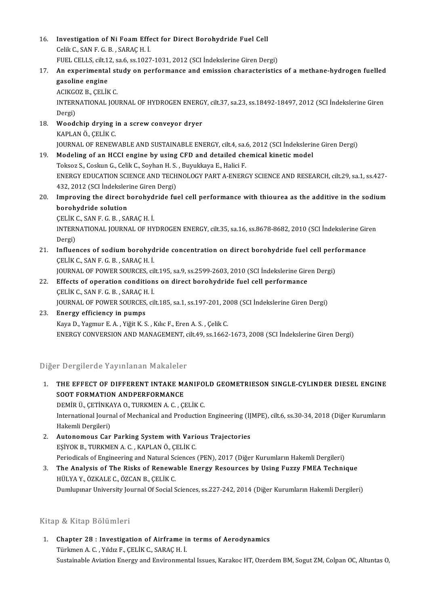- 16. Investigation of Ni Foam Effect for Direct Borohydride Fuel Cell<br>CellyC SANE C B SARACH I Investigation of Ni Foam Effe<br>Celik C., SAN F. G. B. , SARAÇ H. İ.<br>FUEL CELLS silt 12.826.821027 Investigation of Ni Foam Effect for Direct Borohydride Fuel Cell<br>Celik C., SAN F. G. B. , SARAÇ H. İ.<br>FUEL CELLS, cilt.12, sa.6, ss.1027-1031, 2012 (SCI İndekslerine Giren Dergi)<br>An evnerimentel study en nerformanes and em
- 17. Celik C., SAN F. G. B. , SARAÇ H. İ.<br>17. An experimental study on performance and emission characteristics of a methane-hydrogen fuelled<br>17. An experimental study on performance and emission characteristics of a methan FUEL CELLS, cilt.12, sa.6, ss.1027-1031, 2012 (SCI Indekslerine Giren Dergi)<br>An experimental study on performance and emission characteristic<br>gasoline engine<br>ACIKGOZ B., CELIK C.
- An experimental st<br>gasoline engine<br>ACIKGOZ B., ÇELİK C.<br>INTERNATIONAL IOU gasoline engine<br>ACIKGOZ B., ÇELİK C.<br>INTERNATIONAL JOURNAL OF HYDROGEN ENERGY, cilt.37, sa.23, ss.18492-18497, 2012 (SCI İndekslerine Giren<br>Persi) ACIKGO<br>INTERI<br>Dergi)<br>Weede INTERNATIONAL JOURNAL OF HYDROGEN ENERG<br>Dergi)<br>18. Woodchip drying in a screw conveyor dryer<br>KAPLANÖ CELIKC
- Dergi)<br><mark>Woodchip drying i</mark><br>KAPLAN Ö., ÇELİK C.<br>JOUPNAL OF PENEW KAPLAN Ö., ÇELİK C.<br>JOURNAL OF RENEWABLE AND SUSTAINABLE ENERGY, cilt.4, sa.6, 2012 (SCI İndekslerine Giren Dergi)
- 19. Modeling of an HCCI engine by using CFD and detailed chemical kineticmodel Toksoz S., Coskun G., Celik C., Soyhan H. S., Buyukkaya E., Halici F. Modeling of an HCCI engine by using CFD and detailed chemical kinetic model<br>Toksoz S., Coskun G., Celik C., Soyhan H. S. , Buyukkaya E., Halici F.<br>ENERGY EDUCATION SCIENCE AND TECHNOLOGY PART A-ENERGY SCIENCE AND RESEARCH, Toksoz S., Coskun G., Celik C., Soyhan H. S.<br>ENERGY EDUCATION SCIENCE AND TECH<br>432, 2012 (SCI İndekslerine Giren Dergi)<br>Imnroving the direct berebydride fu ENERGY EDUCATION SCIENCE AND TECHNOLOGY PART A-ENERGY SCIENCE AND RESEARCH, cilt.29, sa.1, ss.427-<br>432, 2012 (SCI Indekslerine Giren Dergi)<br>20. Improving the direct borohydride fuel cell performance with thiourea as the ad
- 432, 2012 (SCI Indekslerine Giren Dergi)<br>Improving the direct borohydride fu<br>borohydride solution 20. Improving the direct borohydride fuel cell performance with thiourea as the additive in the sodium

INTERNATIONAL JOURNAL OF HYDROGEN ENERGY, cilt.35, sa.16, ss.8678-8682, 2010 (SCI İndekslerine Giren<br>Dergi) CELIK C. SAN F G B , SARAC H I

INTERNATIONAL JOURNAL OF HYDROGEN ENERGY, cilt.35, sa.16, ss.8678-8682, 2010 (SCI İndekslerine Gir<br>Dergi)<br>21. Influences of sodium borohydride concentration on direct borohydride fuel cell performance<br>CELIK C. SAN E.C. P. Dergi)<br>I<mark>nfluences of sodium borohyd</mark><br>ÇELİK C., SAN F. G. B. , SARAÇ H. İ.<br>JOUPNAL OF POWER SOURCES. Gİ Influences of sodium borohydride concentration on direct borohydride fuel cell perf<br>ÇELİK C., SAN F. G. B. , SARAÇ H. İ.<br>JOURNAL OF POWER SOURCES, cilt.195, sa.9, ss.2599-2603, 2010 (SCI İndekslerine Giren Dergi)<br>Effects o

- CELIK C., SAN F. G. B., SARAC H. I.<br>JOURNAL OF POWER SOURCES, cilt.195, sa.9, ss.2599-2603, 2010 (SCI Indekslerine Gire<br>22. Effects of operation conditions on direct borohydride fuel cell performance<br>CELIK C. SAN E.C. P., JOURNAL OF POWER SOURCES, cil<br>Effects of operation condition<br>CELİK C., SAN F. G. B. , SARAÇ H. İ.<br>JOUPNAL OF POWER SOURCES, cil Effects of operation conditions on direct borohydride fuel cell performance<br>ÇELİK C., SAN F. G. B. , SARAÇ H. İ.<br>JOURNAL OF POWER SOURCES, cilt.185, sa.1, ss.197-201, 2008 (SCI İndekslerine Giren Dergi)<br>Fnergy efficionay i
- CELIK C., SAN F. G. B. , SARAC H. I.<br>JOURNAL OF POWER SOURCES, cilt.185, sa.1, ss.197-201, 20<br>23. Energy efficiency in pumps<br>Kaya D., Yagmur E. A. , Yiğit K. S. , Kılıc F., Eren A. S. , Celik C. JOURNAL OF POWER SOURCES, cilt.185, sa.1, ss.197-201, 20<br>Energy efficiency in pumps<br>Kaya D., Yagmur E. A. , Yiğit K. S. , Kılıc F., Eren A. S. , Çelik C.<br>ENERCY CONVERSION AND MANACEMENT, silt.49, ss.1663 ENERGY CONVERSION AND MANAGEMENT, cilt.49, ss.1662-1673, 2008 (SCI İndekslerine Giren Dergi)

Diğer Dergilerde Yayınlanan Makaleler

- )iğer Dergilerde Yayınlanan Makaleler<br>1. THE EFFECT OF DIFFERENT INTAKE MANIFOLD GEOMETRIESON SINGLE-CYLINDER DIESEL ENGINE<br>SOOT FORMATION ANDRERFORMANCE THE EFFECT OF DIFFERENT INTAKE MANAGEMENT CONTROLLER THE EFFECT OF DIFFERENT INTAKE MANAGEMENT AND CONTROLLER THE EFFECT OF DIFFERENT INTAKE MANIFO.<br>SOOT FORMATION ANDPERFORMANCE<br>DEMİR Ü., ÇETİNKAYA O., TURKMEN A. C. , ÇELİK C.<br>International Journal of Mechanical and Production SOOT FORMATION ANDPERFORMANCE<br>DEMİR Ü., ÇETİNKAYA O., TURKMEN A. C. , ÇELİK C.<br>International Journal of Mechanical and Production Engineering (IJMPE), cilt.6, ss.30-34, 2018 (Diğer Kurumların<br>Hakemli Dergileri) DEMİR Ü., ÇETİNKA<br>International Journ<br>Hakemli Dergileri)<br>Autanamaus Car International Journal of Mechanical and Production Engineering (IJ<br>2. Autonomous Car Parking System with Various Trajectories<br>52. Autonomous Car Parking System with Various Trajectories
- Hakemli Dergileri)<br><mark>Autonomous Car Parking System with Var</mark>i<br>EŞİYOK B., TURKMEN A. C. , KAPLAN Ö., ÇELİK C.<br>Periodisels of Engineering and Natural Sciences. EŞİYOK B., TURKMEN A. C. , KAPLAN Ö., ÇELİK C.<br>Periodicals of Engineering and Natural Sciences (PEN), 2017 (Diğer Kurumların Hakemli Dergileri) EŞİYOK B., TURKMEN A. C. , KAPLAN Ö., ÇELİK C.<br>Periodicals of Engineering and Natural Sciences (PEN), 2017 (Diğer Kurumların Hakemli Dergileri)<br>3. The Analysis of The Risks of Renewable Energy Resources by Using Fuzzy FMEA
- Periodicals of Engineering and Natural Sc<br>**The Analysis of The Risks of Renewa**<br>HÜLYA Y., ÖZKALE C., ÖZCAN B., ÇELİK C.<br>Dumlunuar University Journal Of Social S HÜLYA Y., ÖZKALE C., ÖZCAN B., ÇELİK C.<br>Dumlupınar University Journal Of Social Sciences, ss.227-242, 2014 (Diğer Kurumların Hakemli Dergileri)

### Kitap & Kitap Bölümleri

Xitap & Kitap Bölümleri<br>1. Chapter 28 : Investigation of Airframe in terms of Aerodynamics<br>Türkman A.C. Vildis E. CELİK C. SARACH İ. Türkmen<br>Türkmen A. C. , Yıldız F., ÇELİK C., SARAÇ H. İ.<br>Türkmen A. C. , Yıldız F., ÇELİK C., SARAÇ H. İ. Türkmen A. C. , Yıldız F., ÇELİK C., SARAÇ H. İ.<br>Sustainable Aviation Energy and Environmental Issues, Karakoc HT, Ozerdem BM, Sogut ZM, Colpan OC, Altuntas O,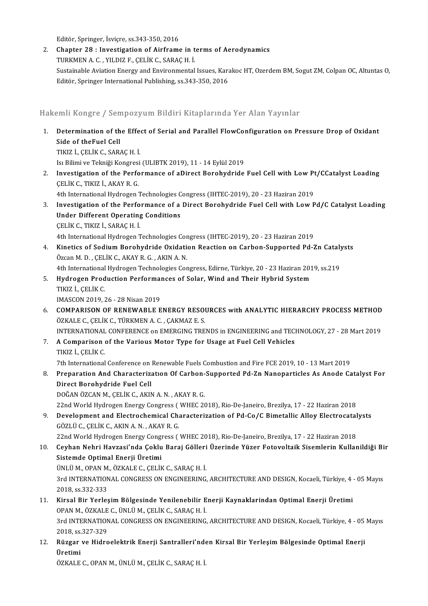Editör, Springer, İsviçre, ss.343-350, 2016

2. Chapter 28 : Investigation of Airframe in terms of Aerodynamics TURKMENA.C. ,YILDIZ F.,ÇELİKC.,SARAÇH. İ. Chapter 28 : Investigation of Airframe in terms of Aerodynamics<br>TURKMEN A. C. , YILDIZ F., ÇELİK C., SARAÇ H. İ.<br>Sustainable Aviation Energy and Environmental Issues, Karakoc HT, Ozerdem BM, Sogut ZM, Colpan OC, Altuntas O TURKMEN A. C. , YILDIZ F., ÇELİK C., SARAÇ H. İ.<br>Sustainable Aviation Energy and Environmental Issues, Kara<br>Editör, Springer International Publishing, ss.343-350, 2016

Editör, Springer International Publishing, ss.343-350, 2016<br>Hakemli Kongre / Sempozyum Bildiri Kitaplarında Yer Alan Yayınlar

- Iakemli Kongre / Sempozyum Bildiri Kitaplarında Yer Alan Yayınlar<br>1. Determination of the Effect of Serial and Parallel FlowConfiguration on Pressure Drop of Oxidant<br>. Side of theFuel Cell Side of theFuel Cell<br>Side of theFuel Cell<br>TIVIZ L.CELLY C. SAR Side of theFuel Cell<br>TIKIZ İ., ÇELİK C., SARAÇ H. İ. Side of theFuel Cell<br>TIKIZ İ., ÇELİK C., SARAÇ H. İ.<br>Isı Bilimi ve Tekniği Kongresi (ULIBTK 2019), 11 - 14 Eylül 2019<br>Investisation of the Berformanee of aDinest Berebydride 2. Investigation of the Performance of aDirect Borohydride Fuel Cell with Low Pt/CCatalyst Loading<br>CELIK C., TIKIZ I., AKAY R. G. Isı Bilimi ve Tekniği Kongresi<br>Investigation of the Perfo<br>ÇELİK C., TIKIZ İ., AKAY R. G.<br>4th International Hydnogen Investigation of the Performance of aDirect Borohydride Fuel Cell with Low Pt<br>CELIK C., TIKIZ I., AKAY R. G.<br>4th International Hydrogen Technologies Congress (IHTEC-2019), 20 - 23 Haziran 2019<br>Investigation of the Berforma 3. Investigation of the Performance of a Direct Borohydride Fuel Cell with Low Pd/C Catalyst Loading 4th International Hydrogen Technologies C<br>Investigation of the Performance of a<br>Under Different Operating Conditions<br>CELUC TWE LABACH <sup>i</sup> Under Different Operating Conditions<br>CELİK C., TIKIZ İ., SARAC H. İ. Under Different Operating Conditions<br>ÇELİK C., TIKIZ İ., SARAÇ H. İ.<br>4th International Hydrogen Technologies Congress (IHTEC-2019), 20 - 23 Haziran 2019<br>Kinetiss of Sodium Borobydride Qvidation Boastion on Carbon Sunnerted CELIK C., TIKIZ I., SARAC H. I.<br>4th International Hydrogen Technologies Congress (IHTEC-2019), 20 - 23 Haziran 2019<br>4. Kinetics of Sodium Borohydride Oxidation Reaction on Carbon-Supported Pd-Zn Catalysts<br>67500 M.D., CELIK 4th International Hydrogen Technologies Con<br>Kinetics of Sodium Borohydride Oxidation<br>Özcan M. D. , ÇELİK C., AKAY R. G. , AKIN A. N.<br>4th International Hydrogen Technologies Con Kinetics of Sodium Borohydride Oxidation Reaction on Carbon-Supported Pd-Zn Cataly<br>Özcan M. D. , ÇELİK C., AKAY R. G. , AKIN A. N.<br>4th International Hydrogen Technologies Congress, Edirne, Türkiye, 20 - 23 Haziran 2019, ss Özcan M. D. , ÇELİK C., AKAY R. G. , AKIN A. N.<br>4th International Hydrogen Technologies Congress, Edirne, Türkiye, 20 - 23 Haziran 201<br>5. Hydrogen Production Performances of Solar, Wind and Their Hybrid System<br>TIVIZ İ. CEL 4th International<br>Hydrogen Prod<br>TIKIZ İ., ÇELİK C.<br>IMASCON 2010 Hydrogen Production Performal<br>TIKIZ İ., ÇELİK C.<br>IMASCON 2019, 26 - 28 Nisan 2019<br>COMPARISON OF RENEWARI E E TIKIZ İ., ÇELİK C.<br>IMASCON 2019, 26 - 28 Nisan 2019<br>6. COMPARISON OF RENEWABLE ENERGY RESOURCES with ANALYTIC HIERARCHY PROCESS METHOD
- IMASCON 2019, 26 28 Nisan 2019<br>**COMPARISON OF RENEWABLE ENERGY RESOU<br>ÖZKALE C., ÇELİK C., TÜRKMEN A. C. , ÇAKMAZ E. S.**<br>INTERNATIONAL CONEERENCE on EMERCINC TRE COMPARISON OF RENEWABLE ENERGY RESOURCES with ANALYTIC HIERARCHY PROCESS METHOD<br>ÖZKALE C., ÇELİK C., TÜRKMEN A. C. , ÇAKMAZ E. S.<br>INTERNATIONAL CONFERENCE on EMERGING TRENDS in ENGINEERING and TECHNOLOGY, 27 - 28 Mart 2019 ÖZKALE C., ÇELİK C., TÜRKMEN A. C. , ÇAKMAZ E. S.<br>INTERNATIONAL CONFERENCE on EMERGING TRENDS in ENGINEERING and TECI<br>7. A Comparison of the Various Motor Type for Usage at Fuel Cell Vehicles<br>TIVIZ İ. CELİK C

INTERNATIONAL<br>A Comparison<br>TIKIZ İ., ÇELİK C.<br><sup>7th International</sup> TIKIZ İ., ÇELİK C.<br>7th International Conference on Renewable Fuels Combustion and Fire FCE 2019, 10 - 13 Mart 2019

- 8. TIKIZ İ., ÇELİK C.<br>8. Preparational Conference on Renewable Fuels Combustion and Fire FCE 2019, 10 13 Mart 2019<br>8. Preparation And Characterization Of Carbon-Supported Pd-Zn Nanoparticles As Anode Catalyst For<br>9. Dina 7th International Conference on<br>Preparation And Characteriz<br>Direct Borohydride Fuel Cell<br>DOČAN ÖZCAN M. CELIK C. AKI Direct Borohydride Fuel Cell<br>DOĞAN ÖZCAN M., ÇELİK C., AKIN A. N. , AKAY R. G. Direct Borohydride Fuel Cell<br>DOĞAN ÖZCAN M., ÇELİK C., AKIN A. N. , AKAY R. G.<br>22nd World Hydrogen Energy Congress ( WHEC 2018), Rio-De-Janeiro, Brezilya, 17 - 22 Haziran 2018<br>Davelopment and Electrochemical Characterizati 9. DOĞAN ÖZCAN M., ÇELİK C., AKIN A. N. , AKAY R. G.<br>22nd World Hydrogen Energy Congress (WHEC 2018), Rio-De-Janeiro, Brezilya, 17 - 22 Haziran 2018<br>9. Development and Electrochemical Characterization of Pd-Co/C Bimetallic
- 22nd World Hydrogen Energy Congress (<br>Development and Electrochemical Cha<br>GÖZLÜ C., ÇELİK C., AKIN A. N. , AKAY R. G.<br>22nd World Hydrogen Energy Congress ( Development and Electrochemical Characterization of Pd-Co/C Bimetallic Alloy Electrocatal<br>GÖZLÜ C., ÇELİK C., AKIN A. N. , AKAY R. G.<br>22nd World Hydrogen Energy Congress ( WHEC 2018), Rio-De-Janeiro, Brezilya, 17 - 22 Hazi
- 6ÖZLÜ C., ÇELİK C., AKIN A. N. , AKAY R. G.<br>22nd World Hydrogen Energy Congress ( WHEC 2018), Rio-De-Janeiro, Brezilya, 17 22 Haziran 2018<br>10. Ceyhan Nehri Havzasi'nda Çoklu Baraj Gölleri Üzerinde Yüzer Fotovoltaik S 22nd World Hydrogen Energy Cong<br>Ceyhan Nehri Havzasi'nda Çoklu<br>Sistemde Optimal Enerji Üretimi<br>ÜNUÜ M. OPAN M. ÖZKALE C. CELİR Ceyhan Nehri Havzasi'nda Çoklu Baraj Gölleri<br>Sistemde Optimal Enerji Üretimi<br>ÜNLÜ M., OPAN M., ÖZKALE C., ÇELİK C., SARAÇ H. İ.<br>2rd INTERNATIONAL CONCRESS ON ENCINEERING Sistemde Optimal Enerji Üretimi<br>ÜNLÜ M., OPAN M., ÖZKALE C., ÇELİK C., SARAÇ H. İ.<br>3rd INTERNATIONAL CONGRESS ON ENGINEERING, ARCHITECTURE AND DESIGN, Kocaeli, Türkiye, 4 - 05 Mayıs<br>2018. ss.332-333 ÜNLÜ M., OPAN M., ÖZKALE C., ÇELİK C., SARAÇ H. İ. 3rd INTERNATIONAL CONGRESS ON ENGINEERING, ARCHITECTURE AND DESIGN, Kocaeli, Türkiye, 4<br>2018, ss.332-333<br>11. Kirsal Bir Yerleşim Bölgesinde Yenilenebilir Enerji Kaynaklarından Optimal Enerji Üretimi<br>OPAN M. ÖZKALE C. ÜNUÜ
- 2018, ss.332-333<br>Kirsal Bir Yerleşim Bölgesinde Yenilenebilir E<br>OPAN M., ÖZKALE C., ÜNLÜ M., ÇELİK C., SARAÇ H. İ.<br>2rd INTERNATIONAL CONCRESS ON ENCINEERING Kirsal Bir Yerleşim Bölgesinde Yenilenebilir Enerji Kaynaklarindan Optimal Enerji Üretimi<br>OPAN M., ÖZKALE C., ÜNLÜ M., ÇELİK C., SARAÇ H. İ.<br>3rd INTERNATIONAL CONGRESS ON ENGINEERING, ARCHITECTURE AND DESIGN, Kocaeli, Türk 0PAN M., ÖZKALE<br>3rd INTERNATION<br>2018, ss.327-329<br>Püzzer ve Hidro 3rd INTERNATIONAL CONGRESS ON ENGINEERING, ARCHITECTURE AND DESIGN, Kocaeli, Türkiye, 4 - 05<br>2018, ss.327-329<br>12. Rüzgar ve Hidroelektrik Enerji Santralleri'nden Kirsal Bir Yerleşim Bölgesinde Optimal Enerji
- 2018, ss<mark>.</mark><br>Rüzgar<br>Üretimi Rüzgar ve Hidroelektrik Enerji Santralleri'nde<br>Üretimi<br>ÖZKALE C., OPAN M., ÜNLÜ M., ÇELİK C., SARAÇ H. İ.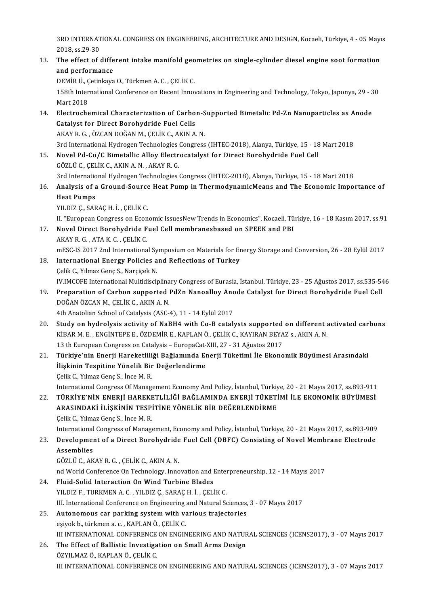3RD INTERNATIONAL CONGRESS ON ENGINEERING, ARCHITECTURE AND DESIGN, Kocaeli, Türkiye, 4 - 05 Mayıs<br>2018, SS 20, 20 3RD INTERNAT<br>2018, ss.29-30<br>The effect of a 13. The effect of different intake manifold geometries on single-cylinder diesel engine soot formation<br>13. The effect of different intake manifold geometries on single-cylinder diesel engine soot formation<br>13. The effect o

### 2018, ss.29-30<br>13. The effect of different intake manifold geometries on single-cylinder diesel engine soot formation<br>and performance The effect of different intake manifold geo<br>and performance<br>DEMİR Ü., Çetinkaya O., Türkmen A. C. , ÇELİK C.<br>159th International Conference on Becent Inner

158th International Conference on Recent Innovations in Engineering and Technology, Tokyo, Japonya, 29 - 30<br>Mart 2018 DEMİR Ü., Ç<br>158th Inter<br>Mart 2018<br>Electreche 158th International Conference on Recent Innovations in Engineering and Technology, Tokyo, Japonya, 29 - 3<br>Mart 2018<br>14. Electrochemical Characterization of Carbon-Supported Bimetalic Pd-Zn Nanoparticles as Anode<br>6 Catalys

- Mart 2018<br>Electrochemical Characterization of Carbo<br>Catalyst for Direct Borohydride Fuel Cells<br>AKAN B.C. ÖZCAN DOČAN M. CELİK G. AKIN A Catalyst for Direct Borohydride Fuel Cells<br>AKAY R.G., ÖZCAN DOĞAN M., ÇELİK C., AKIN A.N. Catalyst for Direct Borohydride Fuel Cells<br>AKAY R. G. , ÖZCAN DOĞAN M., ÇELİK C., AKIN A. N.<br>3rd International Hydrogen Technologies Congress (IHTEC-2018), Alanya, Türkiye, 15 - 18 Mart 2018<br>Novel Bd. Co. (C. Bimetallis Al
- 15. Novel Pd-Co/C Bimetallic Alloy Electrocatalyst for Direct Borohydride Fuel Cell<br>GÖZLÜ C., CELİK C., AKIN A. N., AKAY R. G. 3rd International Hydrogen Technologies<br>Novel Pd-Co/C Bimetallic Alloy Electr<br>GÖZLÜ C., ÇELİK C., AKIN A. N. , AKAY R. G.<br><sup>2rd International Hydrogen Technologies</sup> Novel Pd-Co/C Bimetallic Alloy Electrocatalyst for Direct Borohydride Fuel Cell<br>GÖZLÜ C., ÇELİK C., AKIN A. N. , AKAY R. G.<br>3rd International Hydrogen Technologies Congress (IHTEC-2018), Alanya, Türkiye, 15 - 18 Mart 2018<br>
- 6ÖZLÜ C., ÇELİK C., AKIN A. N. , AKAY R. G.<br>3rd International Hydrogen Technologies Congress (IHTEC-2018), Alanya, Türkiye, 15 18 Mart 2018<br>16. Analysis of a Ground-Source Heat Pump in ThermodynamicMeans and The Econ 3rd Internatio<br><mark>Analysis of</mark> a<br>Heat Pumps<br>YU DIZ G SAR Analysis of a Ground-Source<br>Heat Pumps<br>YILDIZ Ç., SARAÇ H. İ. , ÇELİK C.<br>H. "Europeen Congress on Feon Heat Pumps<br>YILDIZ Ç., SARAÇ H. İ. , ÇELİK C.<br>II. "European Congress on Economic IssuesNew Trends in Economics", Kocaeli, Türkiye, 16 - 18 Kasım 2017, ss.91

- 17. Novel Direct Borohydride Fuel Cel membranesbased on SPEEK and PBI AKAYR.G. ,ATAK.C. ,ÇELİKC. mESC-IS 2017 2nd International Symposium on Materials for Energy Storage and Conversion, 26 - 28 Eylül 2017
- 18. International Energy Policies and Reflections of Turkey Çelik C., Yılmaz Genç S., Narçiçek N. I<mark>nternational Energy Policies and Reflections of Turkey</mark><br>Çelik C., Yılmaz Genç S., Narçiçek N.<br>IV.IMCOFE International Multidisciplinary Congress of Eurasia, İstanbul, Türkiye, 23 - 25 Ağustos 2017, ss.535-546<br>Preparation Celik C., Yılmaz Genç S., Narçiçek N.<br>19. IV.IMCOFE International Multidisciplinary Congress of Eurasia, İstanbul, Türkiye, 23 - 25 Ağustos 2017, ss.535-5<br>19. Preparation of Carbon supported PdZn Nanoalloy Anode Catalyst f
- IV.IMCOFE International Multidisciplina<br>Preparation of Carbon supported ]<br>DOĞAN ÖZCAN M., ÇELİK C., AKIN A. N.<br>4th Anatolian School of Catalusis (ASC 19. Preparation of Carbon supported PdZn Nanoalloy Anode Catalyst for Direct Borohydride Fuel Cell<br>DOĞAN ÖZCAN M., ÇELİK C., AKIN A. N.<br>4th Anatolian School of Catalysis (ASC-4), 11 - 14 Eylül 2017

- 20. Study on hydrolysis activity of NaBH4 with Co-B catalysts supported on different activated carbons 4th Anatolian School of Catalysis (ASC-4), 11 - 14 Eylül 2017<br>Study on hydrolysis activity of NaBH4 with Co-B catalysts supported on different a<br>KİBAR M. E. , ENGİNTEPE E., ÖZDEMİR E., KAPLAN Ö., ÇELİK C., KAYIRAN BEYAZ s. Study on hydrolysis activity of NaBH4 with Co-B catalysts supported<br>KİBAR M. E. , ENGİNTEPE E., ÖZDEMİR E., KAPLAN Ö., ÇELİK C., KAYIRAN BEYA<br>13 th European Congress on Catalysis – EuropaCat-XIII, 27 - 31 Ağustos 2017<br>Türk 13 th European Congress on Catalysis - EuropaCat-XIII, 27 - 31 Ağustos 2017
- 21. Türkiye'nin Enerji Hareketliliği Bağlamında Enerji Tüketimi İle Ekonomik Büyümesi Arasındaki Çelik C., Yılmaz Genç S., İnce M. R.

International Congress Of Management Economy And Policy, İstanbul, Türkiye, 20 - 21 Mayıs 2017, ss.893-911

22. Çelik C., Yılmaz Genç S., İnce M. R.<br>122. TÜRKİYE'NİN ENERJİ HAREKETLİLİĞİ BAĞLAMINDA ENERJİ TÜKETİMİ İLE EKONOMİK BÜYÜMESİ<br>122. TÜRKİYE'NİN ENERJİ HAREKETLİLİĞİ BAĞLAMINDA ENERJİ TÜKETİMİ İLE EKONOMİK BÜYÜMESİ International Congress Of Management Economy And Policy, İstanbul, Türkiy<br>TÜRKİYE'NİN ENERJİ HAREKETLİLİĞİ BAĞLAMINDA ENERJİ TÜKETİ<br>ARASINDAKİ İLİŞKİNİN TESPİTİNE YÖNELİK BİR DEĞERLENDİRME<br>Celik C. Yılmar Cana S. İnas M. P TÜRKİYE'NİN ENERJİ HAREKE<br>ARASINDAKİ İLİŞKİNİN TESPİ<br>Çelik C., Yılmaz Genç S., İnce M. R.<br>International Congress of Manag ARASINDAKİ İLİŞKİNİN TESPİTİNE YÖNELİK BİR DEĞERLENDİRME<br>Çelik C., Yılmaz Genç S., İnce M. R.<br>International Congress of Management, Economy and Policy, İstanbul, Türkiye, 20 - 21 Mayıs 2017, ss.893-909<br>Davelopment of a Dir

Celik C., Yılmaz Genç S., İnce M. R.<br>International Congress of Management, Economy and Policy, İstanbul, Türkiye, 20 - 21 Mayıs 2017, ss.893-909<br>23. Development of a Direct Borohydride Fuel Cell (DBFC) Consisting of Novel International<br>Developmer<br>Assemblies<br>CÖZUÜC AK Development of a Direct Borohydride Fuel Cell (DBFC) Consisting of Novel Membrane Electrode<br>Assemblies<br>GÖZLÜ C., AKAY R. G. , ÇELİK C., AKIN A. N.

Assemblies<br>GÖZLÜ C., AKAY R. G. , ÇELİK C., AKIN A. N.<br>nd World Conference On Technology, Innovation and Enterpreneurship, 12 - 14 Mayıs 2017<br>Fluid Solid Interaction On Wind Turbine Plades

24. Fluid-Solid Interaction On Wind Turbine Blades<br>YILDIZ F., TURKMEN A. C., YILDIZ C., SARAC H. İ., CELİK C. nd World Conference On Technology, Innovation and Enter<br>Fluid-Solid Interaction On Wind Turbine Blades<br>YILDIZ F., TURKMEN A. C. , YILDIZ Ç., SARAÇ H. İ. , ÇELİK C.<br>III International Conference on Engineering and Natural Sc III. International Conference on Engineering and Natural Sciences, 3 - 07 Mayıs 2017 25. Autonomous car parking system with various trajectories eşiyokb., türkmena. c. ,KAPLANÖ.,ÇELİKC. Autonomous car parking system with various trajectories<br>eşiyok b., türkmen a. c. , KAPLAN Ö., ÇELİK C.<br>III INTERNATIONAL CONFERENCE ON ENGINEERING AND NATURAL SCIENCES (ICENS2017), 3 - 07 Mayıs 2017<br>The Effect of Pollistic

26. The Effect of Ballistic Investigation on Small Arms Design ÖZYILMAZ Ö., KAPLAN Ö., CELIK C. III INTERNATIONAL CONFERENCE<br>The Effect of Ballistic Investiga<br>ÖZYILMAZ Ö., KAPLAN Ö., ÇELİK C.<br>III INTERNATIONAL CONFERENCE III INTERNATIONAL CONFERENCE ON ENGINEERING AND NATURAL SCIENCES (ICENS2017), 3 - 07 Mayıs 2017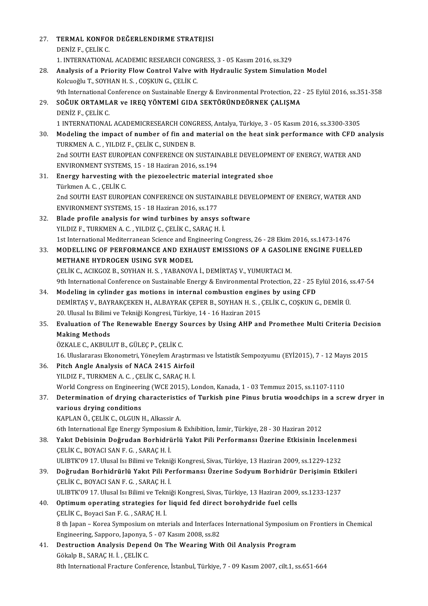| 27. | TERMAL KONFOR DEĞERLENDIRME STRATEJISI                                                                                                               |
|-----|------------------------------------------------------------------------------------------------------------------------------------------------------|
|     | DENİZ F., ÇELİK C.                                                                                                                                   |
|     | 1. INTERNATIONAL ACADEMIC RESEARCH CONGRESS, 3 - 05 Kasım 2016, ss.329                                                                               |
| 28. | Analysis of a Priority Flow Control Valve with Hydraulic System Simulation Model                                                                     |
|     | Kolcuoğlu T., SOYHAN H. S., COŞKUN G., ÇELİK C.                                                                                                      |
|     | 9th International Conference on Sustainable Energy & Environmental Protection, 22 - 25 Eylül 2016, ss.351-358                                        |
| 29. | SOĞUK ORTAMLAR ve IREQ YÖNTEMİ GIDA SEKTÖRÜNDEÖRNEK ÇALIŞMA                                                                                          |
|     | DENİZ F., ÇELİK C.                                                                                                                                   |
|     | 1 INTERNATIONAL ACADEMICRESEARCH CONGRESS, Antalya, Türkiye, 3 - 05 Kasım 2016, ss.3300-3305                                                         |
| 30. | Modeling the impact of number of fin and material on the heat sink performance with CFD analysis<br>TURKMEN A.C., YILDIZ F., ÇELİK C., SUNDEN B.     |
|     | 2nd SOUTH EAST EUROPEAN CONFERENCE ON SUSTAINABLE DEVELOPMENT OF ENERGY, WATER AND                                                                   |
|     | ENVIRONMENT SYSTEMS, 15 - 18 Haziran 2016, ss 194                                                                                                    |
| 31  | Energy harvesting with the piezoelectric material integrated shoe                                                                                    |
|     | Türkmen A C, ÇELİK C.                                                                                                                                |
|     | 2nd SOUTH EAST EUROPEAN CONFERENCE ON SUSTAINABLE DEVELOPMENT OF ENERGY, WATER AND                                                                   |
|     | ENVIRONMENT SYSTEMS, 15 - 18 Haziran 2016, ss 177                                                                                                    |
| 32  | Blade profile analysis for wind turbines by ansys software                                                                                           |
|     | YILDIZ F., TURKMEN A. C., YILDIZ Ç., ÇELİK C., SARAÇ H. İ.                                                                                           |
|     | 1st International Mediterranean Science and Engineering Congress, 26 - 28 Ekim 2016, ss.1473-1476                                                    |
| 33  | MODELLING OF PERFORMANCE AND EXHAUST EMISSIONS OF A GASOLINE ENGINE FUELLED                                                                          |
|     | METHANE HYDROGEN USING SVR MODEL                                                                                                                     |
|     | ÇELİK C., ACIKGOZ B., SOYHAN H. S. , YABANOVA İ., DEMİRTAŞ V., YUMURTACI M.                                                                          |
|     | 9th International Conference on Sustainable Energy & Environmental Protection, 22 - 25 Eylül 2016, ss.47-54                                          |
| 34  | Modeling in cylinder gas motions in internal combustion engines by using CFD                                                                         |
|     | DEMIRTAŞ V., BAYRAKÇEKEN H., ALBAYRAK ÇEPER B., SOYHAN H. S. , ÇELİK C., COŞKUN G., DEMIR Ü.                                                         |
|     | 20. Ulusal Isı Bilimi ve Tekniği Kongresi, Türkiye, 14 - 16 Haziran 2015                                                                             |
| 35. | Evaluation of The Renewable Energy Sources by Using AHP and Promethee Multi Criteria Decision                                                        |
|     | <b>Making Methods</b>                                                                                                                                |
|     | ÖZKALE C., AKBULUT B., GÜLEÇ P., ÇELİK C.<br>16. Uluslararası Ekonometri, Yöneylem Araştırması ve İstatistik Sempozyumu (EYİ2015), 7 - 12 Mayıs 2015 |
| 36. | Pitch Angle Analysis of NACA 2415 Airfoil                                                                                                            |
|     | YILDIZ F., TURKMEN A. C., ÇELİK C., SARAÇ H. İ.                                                                                                      |
|     | World Congress on Engineering (WCE 2015), London, Kanada, 1 - 03 Temmuz 2015, ss.1107-1110                                                           |
| 37. | Determination of drying characteristics of Turkish pine Pinus brutia woodchips in a screw dryer in                                                   |
|     | various drying conditions                                                                                                                            |
|     | KAPLAN Ö., ÇELİK C., OLGUN H., Alkassir A.                                                                                                           |
|     | 6th International Ege Energy Symposium & Exhibition, İzmir, Türkiye, 28 - 30 Haziran 2012                                                            |
| 38. | Yakıt Debisinin Doğrudan Borhidrürlü Yakıt Pili Performansı Üzerine Etkisinin İncelenmesi                                                            |
|     | ÇELİK C., BOYACI SAN F. G., SARAÇ H. İ.                                                                                                              |
|     | ULIBTK'09 17. Ulusal Isı Bilimi ve Tekniği Kongresi, Sivas, Türkiye, 13 Haziran 2009, ss.1229-1232                                                   |
| 39. | Doğrudan Borhidrürlü Yakıt Pili Performansı Üzerine Sodyum Borhidrür Derişimin Etkileri                                                              |
|     | ÇELİK C., BOYACI SAN F. G., SARAÇ H. İ.                                                                                                              |
|     | ULIBTK'09 17. Ulusal Isı Bilimi ve Tekniği Kongresi, Sivas, Türkiye, 13 Haziran 2009, ss.1233-1237                                                   |
| 40. | Optimum operating strategies for liquid fed direct borohydride fuel cells                                                                            |
|     | ÇELİK C., Boyaci San F. G. , SARAÇ H. İ.                                                                                                             |
|     | 8 th Japan - Korea Symposium on mterials and Interfaces International Symposium on Frontiers in Chemical                                             |
|     | Engineering, Sapporo, Japonya, 5 - 07 Kasım 2008, ss.82                                                                                              |
| 41. | Destruction Analysis Depend On The Wearing With Oil Analysis Program                                                                                 |
|     | Gökalp B., SARAÇ H. İ., ÇELİK C.                                                                                                                     |
|     | 8th International Fracture Conference, İstanbul, Türkiye, 7 - 09 Kasım 2007, cilt.1, ss.651-664                                                      |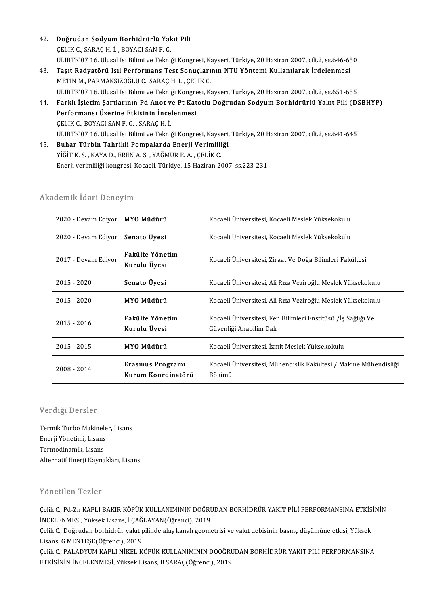- 42. Doğrudan Sodyum Borhidrürlü Yakıt Pili<br>CELİK C. SARACH İ. POVACLSANE C Doğrudan Sodyum Borhidrürlü Yak<br>ÇELİK C., SARAÇ H. İ. , BOYACI SAN F. G.<br>HLIPTV'07 16 Huval ku Bilimi ve Telmi ÇELİK C., SARAÇ H. İ. , BOYACI SAN F. G.<br>ULIBTK'07 16. Ulusal Isı Bilimi ve Tekniği Kongresi, Kayseri, Türkiye, 20 Haziran 2007, cilt.2, ss.646-650
- 43. Taşıt Radyatörü Isıl Performans Test Sonuçlarının NTU Yöntemi Kullanılarak İrdelenmesi METİNM.,PARMAKSIZOĞLUC.,SARAÇH. İ. ,ÇELİKC. ULIBTK'07 16. Ulusal Isı Bilimi ve Tekniği Kongresi, Kayseri, Türkiye, 20 Haziran 2007, cilt.2, ss.651-655 METİN M., PARMAKSIZOĞLU C., SARAÇ H. İ. , ÇELİK C.<br>ULIBTK'07 16. Ulusal Isı Bilimi ve Tekniği Kongresi, Kayseri, Türkiye, 20 Haziran 2007, cilt.2, ss.651-655<br>44. Farklı İşletim Şartlarının Pd Anot ve Pt Katotlu Doğruda
- ULIBTK'07 16. Ulusal Isı Bilimi ve Tekniği Kongre<br>Farklı İşletim Şartlarının Pd Anot ve Pt Kat<br>Performansı Üzerine Etkisinin İncelenmesi<br>CELİK C. ROYACI SAN E C. SARAC H.İ Farklı İşletim Şartlarının Pd Anot v<br>Performansı Üzerine Etkisinin İnce<br>ÇELİK C., BOYACI SAN F. G. , SARAÇ H. İ.<br>ULIPT<sup>IZ'07-16, Ulucal kı Bilimi ve Tolmi</sup> Performansı Üzerine Etkisinin İncelenmesi<br>ÇELİK C., BOYACI SAN F. G. , SARAÇ H. İ.<br>ULIBTK'07 16. Ulusal Isı Bilimi ve Tekniği Kongresi, Kayseri, Türkiye, 20 Haziran 2007, cilt.2, ss.641-645<br>Buhar Türbin Tehrikli Bomnalarda ÇELİK C., BOYACI SAN F. G. , SARAÇ H. İ.<br>ULIBTK'07 16. Ulusal Isı Bilimi ve Tekniği Kongresi, Kayseri,<br>45. Buhar Türbin Tahrikli Pompalarda Enerji Verimliliği<br>YİĞİT K. S. , KAYA D., EREN A. S. , YAĞMUR E. A. , CELİK C.
- ULIBTK'07 16. Ulusal Isı Bilimi ve Tekniği Kongresi, Kayse<br><mark>Buhar Türbin Tahrikli Pompalarda Enerji Verimlili</mark><br>YİĞİT K. S. , KAYA D., EREN A. S. , YAĞMUR E. A. , ÇELİK C.<br>Fnarii varimliliği kongresi, Kaçaoli Türkiye 15 Hag Enerji verimliliği kongresi, Kocaeli, Türkiye, 15 Haziran 2007, ss.223-231

#### Akademik İdari Deneyim

| ademik İdari Deneyim             |                                        |                                                                                         |  |  |
|----------------------------------|----------------------------------------|-----------------------------------------------------------------------------------------|--|--|
| 2020 - Devam Ediyor MYO Müdürü   |                                        | Kocaeli Üniversitesi, Kocaeli Meslek Yüksekokulu                                        |  |  |
| 2020 - Devam Ediyor Senato Uyesi |                                        | Kocaeli Üniversitesi, Kocaeli Meslek Yüksekokulu                                        |  |  |
| 2017 - Devam Ediyor              | Fakülte Yönetim<br>Kurulu Üyesi        | Kocaeli Üniversitesi, Ziraat Ve Doğa Bilimleri Fakültesi                                |  |  |
| $2015 - 2020$                    | Senato Üyesi                           | Kocaeli Üniversitesi, Ali Rıza Veziroğlu Meslek Yüksekokulu                             |  |  |
| $2015 - 2020$                    | MYO Müdürü                             | Kocaeli Üniversitesi, Ali Rıza Veziroğlu Meslek Yüksekokulu                             |  |  |
| $2015 - 2016$                    | Fakülte Yönetim<br>Kurulu Üyesi        | Kocaeli Üniversitesi, Fen Bilimleri Enstitusu /İş Sağlığı Ve<br>Guvenliği Anabilim Dalı |  |  |
| $2015 - 2015$                    | MYO Müdürü                             | Kocaeli Üniversitesi, İzmit Meslek Yüksekokulu                                          |  |  |
| 2008 - 2014                      | Erasmus Programı<br>Kurum Koordinatörü | Kocaeli Üniversitesi, Mühendislik Fakültesi / Makine Mühendisliği<br>Bölümü             |  |  |

#### Verdiği Dersler

Verdiği Dersler<br>Termik Turbo Makineler, Lisans<br>Fnarii Vänetimi Lisans vör urgr *D*örster<br>Termik Turbo Makinele<br>Enerji Yönetimi, Lisans Termik Turbo Makinel<br>Enerji Yönetimi, Lisans<br>Termodinamik, Lisans<br>Alternatif Enerii Kayna Enerji Yönetimi, Lisans<br>Termodinamik, Lisans<br>Alternatif Enerji Kaynakları, Lisans

#### Yönetilen Tezler

Yönetilen Tezler<br>Çelik C., Pd-Zn KAPLI BAKIR KÖPÜK KULLANIMININ DOĞRUDAN BORHİDRÜR YAKIT PİLİ PERFORMANSINA ETKİSİNİN<br>İNCELENMESİ, Yükok Lisana LCAĞLAYAN(Öğransi), 2019 TƏNƏLILEN TƏRIƏT<br>Çelik C., Pd-Zn KAPLI BAKIR KÖPÜK KULLANIMININ DOĞRI<br>İNCELENMESİ, Yüksek Lisans, İ.ÇAĞLAYAN(Öğrenci), 2019<br>Celik C. Doğuydan borbiduür yakıt nilində alın kanalı geome Çelik C., Pd-Zn KAPLI BAKIR KÖPÜK KULLANIMININ DOĞRUDAN BORHİDRÜR YAKIT PİLİ PERFORMANSINA ETKİS!<br>İNCELENMESİ, Yüksek Lisans, İ.ÇAĞLAYAN(Öğrenci), 2019<br>Çelik C., Doğrudan borhidrür yakıt pilinde akış kanalı geometrisi ve y

İNCELENMESİ, Yüksek Lisans, İ.ÇAĞLAYAN(Öğrenci), 2019<br>Çelik C., Doğrudan borhidrür yakıt pilinde akış kanalı geometrisi ve yakıt debisinin basınç düşümüne etkisi, Yüksek<br>Lisans, G.MENTEŞE(Öğrenci), 2019 Çelik C., Doğrudan borhidrür yakıt pilinde akış kanalı geometrisi ve yakıt debisinin basınç düşümüne etkisi, Yüksek<br>Lisans, G.MENTEŞE(Öğrenci), 2019<br>Çelik C., PALADYUM KAPLI NİKEL KÖPÜK KULLANIMININ DOOĞRUDAN BORHİDRÜR YAK

Lisans, G.MENTEŞE(Öğrenci), 2019<br>Çelik C., PALADYUM KAPLI NİKEL KÖPÜK KULLANIMININ DOOĞRI<br>ETKİSİNİN İNCELENMESİ, Yüksek Lisans, B.SARAÇ(Öğrenci), 2019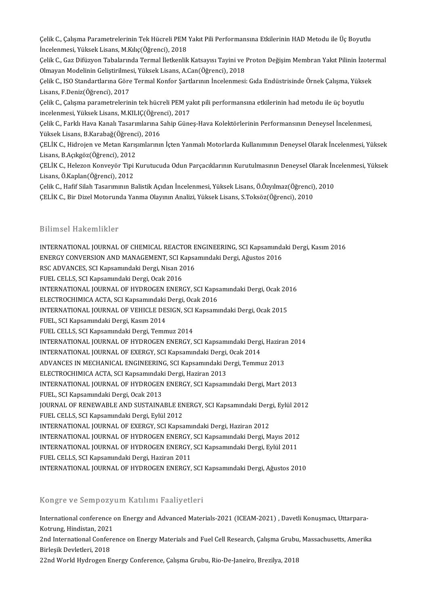Çelik C., Çalışma Parametrelerinin Tek Hücreli PEM Yakıt Pili Performansına Etkilerinin HAD Metodu ile Üç Boyutlu<br>İnselenmesi Yüksek Lisans, M.Kılıs(Öğrensi), 2018 Çelik C., Çalışma Parametrelerinin Tek Hücreli PEM<br>İncelenmesi, Yüksek Lisans, M.Kılıç(Öğrenci), 2018<br>Celik C. Gas Difüzyon Tabalanında Tarmal İletkanlik Çelik C., Çalışma Parametrelerinin Tek Hücreli PEM Yakıt Pili Performansına Etkilerinin HAD Metodu ile Üç Boyutlu<br>İncelenmesi, Yüksek Lisans, M.Kılıç(Öğrenci), 2018<br>Çelik C., Gaz Difüzyon Tabalarında Termal İletkenlik Kats

İncelenmesi, Yüksek Lisans, M.Kılıç(Öğrenci), 2018<br>Çelik C., Gaz Difüzyon Tabalarında Termal İletkenlik Katsayısı Tayini ve J<br>Olmayan Modelinin Geliştirilmesi, Yüksek Lisans, A.Can(Öğrenci), 2018<br>Celik C. ISO Standartların Çelik C., Gaz Difüzyon Tabalarında Termal İletkenlik Katsayısı Tayini ve Proton Değişim Membran Yakıt Pilinin İzotel<br>Olmayan Modelinin Geliştirilmesi, Yüksek Lisans, A.Can(Öğrenci), 2018<br>Çelik C., ISO Standartlarına Göre T

Olmayan Modelinin Geliştirilmesi, Yüksek Lisans, A.Can(Öğrenci), 2018<br>Çelik C., ISO Standartlarına Göre Termal Konfor Şartlarının İncelenmesi<br>Lisans, F.Deniz(Öğrenci), 2017 Çelik C., ISO Standartlarına Göre Termal Konfor Şartlarının İncelenmesi: Gıda Endüstrisinde Örnek Çalışma, Yüksek<br>Lisans, F.Deniz(Öğrenci), 2017<br>Çelik C., Çalışma parametrelerinin tek hücreli PEM yakıt pili performansına e

Çelik C., Çalışma parametrelerinin tek hücreli PEM yakıt pili performansına etkilerinin had metodu ile üç boyutlu

Celik C., Farklı Hava Kanalı Tasarımlarına Sahip Günes-Hava Kolektörlerinin Performansının Deneysel İncelenmesi, incelenmesi, Yüksek Lisans, M.KILIÇ(Öğren<br>Çelik C., Farklı Hava Kanalı Tasarımlarına S<br>Yüksek Lisans, B.Karabağ(Öğrenci), 2016<br>CELİK C. Hidrojon ve Metan Karısımlarını

ÇELİK C., Hidrojen ve Metan Karışımlarının İçten Yanmalı Motorlarda Kullanımının Deneysel Olarak İncelenmesi, Yüksek<br>Lisans, B.Açıkgöz(Öğrenci), 2012 Yüksek Lisans, B.Karabağ(Öğrenci<br>ÇELİK C., Hidrojen ve Metan Karış<br>Lisans, B.Açıkgöz(Öğrenci), 2012<br>CELİK C., Halazan Kanyayör Tini k ÇELİK C., Hidrojen ve Metan Karışımlarının İçten Yanmalı Motorlarda Kullanımının Deneysel Olarak İncelenmesi, Yüksek<br>Lisans, B.Açıkgöz(Öğrenci), 2012<br>ÇELİK C., Helezon Konveyör Tipi Kurutucuda Odun Parçacıklarının Kurutulm

Lisans,Ö.Kaplan(Öğrenci),2012 ÇELİK C., Helezon Konveyör Tipi Kurutucuda Odun Parçacıklarının Kurutulmasının Deneysel Olarak İn<mark>.</mark><br>Lisans, Ö.Kaplan(Öğrenci), 2012<br>Çelik C., Hafif Silah Tasarımının Balistik Açıdan İncelenmesi, Yüksek Lisans, Ö.Özyılmaz(

Çelik C., Hafif Silah Tasarımının Balistik Açıdan İncelenmesi, Yüksek Lisans, Ö.Özyılmaz(Öğrenci), 2010<br>ÇELİK C., Bir Dizel Motorunda Yanma Olayının Analizi, Yüksek Lisans, S.Toksöz(Öğrenci), 2010

#### Bilimsel Hakemlikler

Bilimsel Hakemlikler<br>INTERNATIONAL JOURNAL OF CHEMICAL REACTOR ENGINEERING, SCI Kapsamındaki Dergi, Kasım 2016<br>ENERCY CONVERSION AND MANACEMENT, SCI Kapsamındaki Dergi, Ağustes 2016 BAAMSOF AMAGAMANAST<br>INTERNATIONAL JOURNAL OF CHEMICAL REACTOR ENGINEERING, SCI Kapsamında<br>ENERGY CONVERSION AND MANAGEMENT, SCI Kapsamındaki Dergi, Ağustos 2016<br>BSC ADVANGES, SCI Kapsamındaki Dergi, Nisan 2016 INTERNATIONAL JOURNAL OF CHEMICAL REACTOR E<br>ENERGY CONVERSION AND MANAGEMENT, SCI Kapsa<br>RSC ADVANCES, SCI Kapsamındaki Dergi, Nisan 2016<br>EUEL CELLS SCI Kapsamındaki Dergi, Osak 2016 ENERGY CONVERSION AND MANAGEMENT, SCI Kapsamındaki Dergi, Ağustos 2016<br>RSC ADVANCES, SCI Kapsamındaki Dergi, Nisan 2016<br>FUEL CELLS, SCI Kapsamındaki Dergi, Ocak 2016 RSC ADVANCES, SCI Kapsamındaki Dergi, Nisan 2016<br>FUEL CELLS, SCI Kapsamındaki Dergi, Ocak 2016<br>INTERNATIONAL JOURNAL OF HYDROGEN ENERGY, SCI Kapsamındaki Dergi, Ocak 2016<br>ELECTROCHIMICA ACTA, SCI Kapsamındaki Dergi, Osak 2 FUEL CELLS, SCI Kapsamındaki Dergi, Ocak 2016<br>INTERNATIONAL JOURNAL OF HYDROGEN ENERGY, SCI Kaps.<br>ELECTROCHIMICA ACTA, SCI Kapsamındaki Dergi, Ocak 2016<br>INTERNATIONAL JOURNAL OF VEHICLE DESICN, SCI Kapsamı INTERNATIONAL JOURNAL OF HYDROGEN ENERGY, SCI Kapsamındaki Dergi, Ocak 20<br>ELECTROCHIMICA ACTA, SCI Kapsamındaki Dergi, Ocak 2016<br>INTERNATIONAL JOURNAL OF VEHICLE DESIGN, SCI Kapsamındaki Dergi, Ocak 2015<br>FUEL SCI Kapsamınd ELECTROCHIMICA ACTA, SCI Kapsamındaki Dergi, Ocak 2016<br>INTERNATIONAL JOURNAL OF VEHICLE DESIGN, SCI Kapsam<br>FUEL, SCI Kapsamındaki Dergi, Kasım 2014<br>FUEL CELLS, SCI Kapsamındaki Dergi, Temmuz 2014 INTERNATIONAL JOURNAL OF VEHICLE DESIGN, SCI Kapsamındaki Dergi, Ocak 2015 FUEL, SCI Kapsamındaki Dergi, Kasım 2014<br>FUEL CELLS, SCI Kapsamındaki Dergi, Temmuz 2014<br>INTERNATIONAL JOURNAL OF HYDROGEN ENERGY, SCI Kapsamındaki Dergi, Haziran 2014<br>INTERNATIONAL JOURNAL OF EXERCY, SCI Kapsamındaki Derg FUEL CELLS, SCI Kapsamındaki Dergi, Temmuz 2014<br>INTERNATIONAL JOURNAL OF HYDROGEN ENERGY, SCI Kapsamındaki Dergi<br>INTERNATIONAL JOURNAL OF EXERGY, SCI Kapsamındaki Dergi, Ocak 2014<br>ADVANCES IN MECHANICAL ENCINEERING, SCI Ka INTERNATIONAL JOURNAL OF HYDROGEN ENERGY, SCI Kapsamındaki Dergi, Haziraı<br>INTERNATIONAL JOURNAL OF EXERGY, SCI Kapsamındaki Dergi, Ocak 2014<br>ADVANCES IN MECHANICAL ENGINEERING, SCI Kapsamındaki Dergi, Temmuz 2013<br>ELECTROCH INTERNATIONAL JOURNAL OF EXERGY, SCI Kapsamındaki Dergi, Ocak 2014<br>ADVANCES IN MECHANICAL ENGINEERING, SCI Kapsamındaki Dergi, Temmuz 2013<br>ELECTROCHIMICA ACTA, SCI Kapsamındaki Dergi, Haziran 2013 ADVANCES IN MECHANICAL ENGINEERING, SCI Kapsamındaki Dergi, Temmuz 2013<br>ELECTROCHIMICA ACTA, SCI Kapsamındaki Dergi, Haziran 2013<br>INTERNATIONAL JOURNAL OF HYDROGEN ENERGY, SCI Kapsamındaki Dergi, Mart 2013<br>EUEL, SCI Kansam ELECTROCHIMICA ACTA, SCI Kapsamındak<br>INTERNATIONAL JOURNAL OF HYDROGEN<br>FUEL, SCI Kapsamındaki Dergi, Ocak 2013<br>JOURNAL OF PENEWARLE AND SUSTANIA INTERNATIONAL JOURNAL OF HYDROGEN ENERGY, SCI Kapsamındaki Dergi, Mart 2013<br>FUEL, SCI Kapsamındaki Dergi, Ocak 2013<br>JOURNAL OF RENEWABLE AND SUSTAINABLE ENERGY, SCI Kapsamındaki Dergi, Eylül 2012<br>FUEL CELLS SCI Kapsamındak FUEL, SCI Kapsamındaki Dergi, Ocak 2013<br>JOURNAL OF RENEWABLE AND SUSTAINABLE EN<br>FUEL CELLS, SCI Kapsamındaki Dergi, Eylül 2012<br>INTERNATIONAL JOURNAL OF EYERCY SCI Kapsa JOURNAL OF RENEWABLE AND SUSTAINABLE ENERGY, SCI Kapsamındaki Derg<br>FUEL CELLS, SCI Kapsamındaki Dergi, Eylül 2012<br>INTERNATIONAL JOURNAL OF EXERGY, SCI Kapsamındaki Dergi, Haziran 2012<br>INTERNATIONAL JOURNAL OF HYDROCEN ENER FUEL CELLS, SCI Kapsamındaki Dergi, Eylül 2012<br>INTERNATIONAL JOURNAL OF EXERGY, SCI Kapsamındaki Dergi, Haziran 2012<br>INTERNATIONAL JOURNAL OF HYDROGEN ENERGY, SCI Kapsamındaki Dergi, Mayıs 2012 INTERNATIONAL JOURNAL OF EXERGY, SCI Kapsamındaki Dergi, Haziran 2012<br>INTERNATIONAL JOURNAL OF HYDROGEN ENERGY, SCI Kapsamındaki Dergi, Mayıs 2012<br>INTERNATIONAL JOURNAL OF HYDROGEN ENERGY, SCI Kapsamındaki Dergi, Eylül 201 INTERNATIONAL JOURNAL OF HYDROGEN ENERGY,<br>INTERNATIONAL JOURNAL OF HYDROGEN ENERGY,<br>FUEL CELLS, SCI Kapsamındaki Dergi, Haziran 2011<br>INTERNATIONAL JOURNAL OF HYDROCEN ENERCY INTERNATIONAL JOURNAL OF HYDROGEN ENERGY, SCI Kapsamındaki Dergi, Eylül 2011<br>FUEL CELLS, SCI Kapsamındaki Dergi, Haziran 2011<br>INTERNATIONAL JOURNAL OF HYDROGEN ENERGY, SCI Kapsamındaki Dergi, Ağustos 2010 INTERNATIONAL JOURNAL OF HYDROGEN ENERGY, SCI Kapsamındaki Dergi, Ağustos 2010<br>Kongre ve Sempozyum Katılımı Faaliyetleri

Kongre ve Sempozyum Katılımı Faaliyetleri<br>International conference on Energy and Advanced Materials-2021 (ICEAM-2021) , Davetli Konuşmacı, Uttarpara- $Kotrung, U. V. Compo 2J$ <br>Kotrung, Hindistan, 2021<br>2nd International Confere International conference on Energy and Advanced Materials-2021 (ICEAM-2021) , Davetli Konușmacı, Uttarpara-<br>Kotrung, Hindistan, 2021<br>2nd International Conference on Energy Materials and Fuel Cell Research, Çalışma Grubu, M

Kotrung, Hindistan, 2021<br>2nd International Confer<br>Birleşik Devletleri, 2018<br>22nd World Hydrogen E 2nd International Conference on Energy Materials and Fuel Cell Research, Çalışma Grubu<br>Birleşik Devletleri, 2018<br>22nd World Hydrogen Energy Conference, Çalışma Grubu, Rio-De-Janeiro, Brezilya, 2018